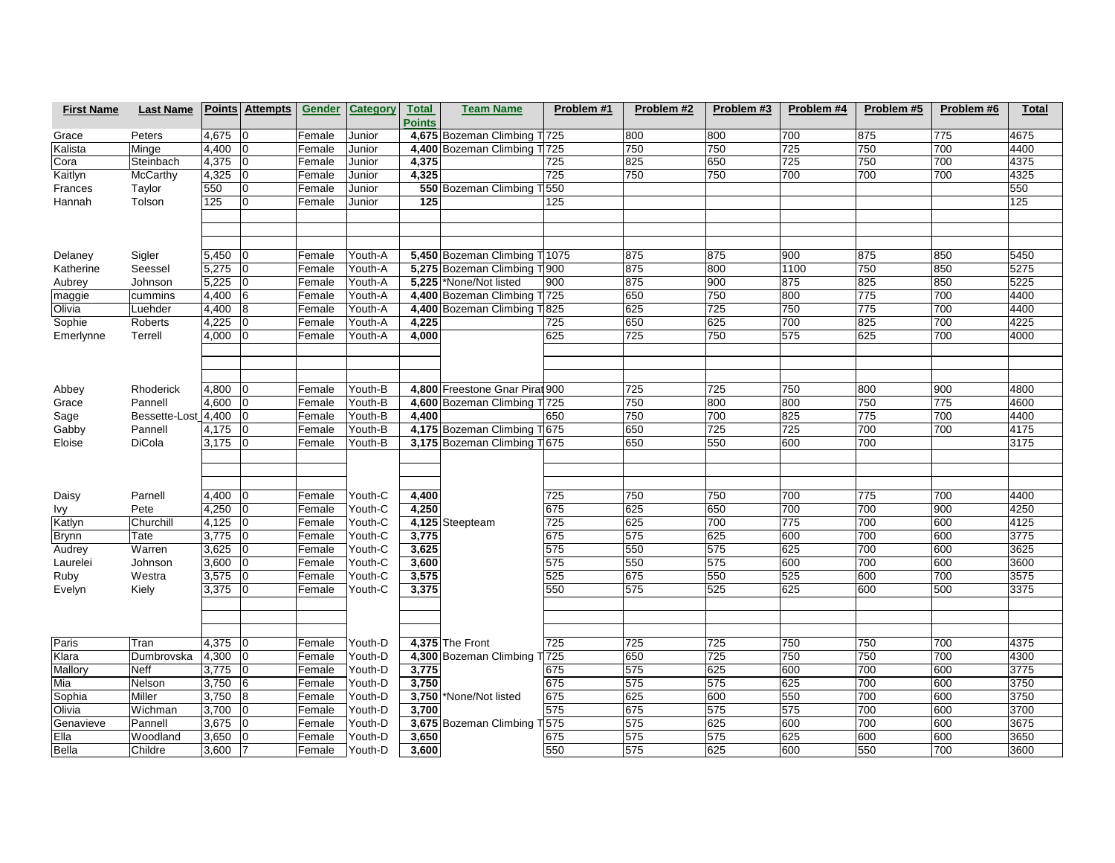| <b>First Name</b> | <b>Last Name</b>         |       | <b>Points Attempts</b> | <b>Gender</b> | Category | <b>Total</b>  | <b>Team Name</b>               | Problem #1 | Problem #2       | Problem #3 | Problem #4 | Problem #5 | Problem #6 | Total        |
|-------------------|--------------------------|-------|------------------------|---------------|----------|---------------|--------------------------------|------------|------------------|------------|------------|------------|------------|--------------|
|                   |                          |       |                        |               |          | <b>Points</b> |                                |            |                  |            |            |            |            |              |
| Grace             | Peters                   | 4,675 | 10                     | Female        | Junior   |               | 4,675 Bozeman Climbing T 725   |            | 800              | 800        | 700        | 875        | 775        | 4675         |
| Kalista           | Minge                    | 4,400 | $\overline{0}$         | Female        | Junior   |               | 4,400 Bozeman Climbing T 725   |            | 750              | 750        | 725        | 750        | 700        | 4400         |
| Cora              | Steinbach                | 4,375 | l0                     | Female        | Junior   | 4,375         |                                | 725        | 825              | 650        | 725        | 750        | 700        | 4375         |
| Kaitlyn           | McCarthy                 | 4,325 | l0                     | Female        | Junior   | 4,325         |                                | 725        | 750              | 750        | 700        | 700        | 700        | 4325         |
| Frances           | Taylor                   | 550   | $\mathbf 0$            | Female        | Junior   |               | 550 Bozeman Climbing T 550     |            |                  |            |            |            |            | 550          |
| Hannah            | Tolson                   | 125   | l٥                     | Female        | Junior   | 125           |                                | 125        |                  |            |            |            |            | 125          |
|                   |                          |       |                        |               |          |               |                                |            |                  |            |            |            |            |              |
|                   |                          |       |                        |               |          |               |                                |            |                  |            |            |            |            |              |
|                   |                          |       |                        |               |          |               |                                |            |                  |            |            |            |            |              |
| Delaney           | Sigler                   | 5,450 | 10                     | Female        | Youth-A  |               | 5,450 Bozeman Climbing T 1075  |            | 875              | 875        | 900        | 875        | 850        | 5450         |
| Katherine         | Seessel                  | 5,275 | 10                     | Female        | Youth-A  |               | 5,275 Bozeman Climbing T 900   |            | 875              | 800        | 1100       | 750        | 850        | 5275         |
| Aubrey            | Johnson                  | 5,225 | l0                     | Female        | Youth-A  |               | 5,225 None/Not listed          | 900        | 875              | 900        | 875        | 825        | 850        | 5225         |
| maggie            | cummins                  | 4,400 | 6                      | Female        | Youth-A  |               | 4,400 Bozeman Climbing T 725   |            | 650              | 750        | 800        | 775        | 700        | 4400         |
| Olivia            | Luehder                  | 4,400 | 8                      | Female        | Youth-A  |               | 4,400 Bozeman Climbing T 825   |            | 625              | 725        | 750        | 775        | 700        | 4400         |
| Sophie            | Roberts                  | 4,225 | l0                     | Female        | Youth-A  | 4,225         |                                | 725        | 650              | 625        | 700        | 825        | 700        | 4225         |
| Emerlynne         | Terrell                  | 4,000 |                        | Female        | Youth-A  | 4,000         |                                | 625        | $\overline{725}$ | 750        | 575        | 625        | 700        | 4000         |
|                   |                          |       |                        |               |          |               |                                |            |                  |            |            |            |            |              |
|                   |                          |       |                        |               |          |               |                                |            |                  |            |            |            |            |              |
|                   |                          |       |                        |               |          |               |                                |            |                  |            |            |            |            |              |
| Abbey             | Rhoderick                | 4,800 | ١O                     | Female        | Youth-B  |               | 4,800 Freestone Gnar Pirat 900 |            | 725              | 725        | 750        | 800        | 900        | 4800         |
| Grace             | Pannell                  | 4,600 | ١O                     | Female        | Youth-B  |               | 4,600 Bozeman Climbing T 725   |            | 750<br>750       | 800<br>700 | 800<br>825 | 750<br>775 | 775<br>700 | 4600<br>4400 |
| Sage              | Bessette-Lost_4,400      |       | 10                     | Female        | Youth-B  | 4,400         |                                | 650        |                  |            |            |            |            |              |
| Gabby             | Pannell<br><b>DiCola</b> | 4,175 | $\overline{0}$         | Female        | Youth-B  |               | 4,175 Bozeman Climbing T 675   |            | 650<br>650       | 725<br>550 | 725<br>600 | 700<br>700 | 700        | 4175<br>3175 |
| Eloise            |                          | 3,175 | $ 0\rangle$            | Female        | Youth-B  |               | 3,175 Bozeman Climbing T 675   |            |                  |            |            |            |            |              |
|                   |                          |       |                        |               |          |               |                                |            |                  |            |            |            |            |              |
|                   |                          |       |                        |               |          |               |                                |            |                  |            |            |            |            |              |
| Daisy             | Parnell                  | 4,400 | 10                     | Female        | Youth-C  | 4,400         |                                | 725        | 750              | 750        | 700        | 775        | 700        | 4400         |
| Ivy               | Pete                     | 4,250 | 10                     | Female        | Youth-C  | 4,250         |                                | 675        | 625              | 650        | 700        | 700        | 900        | 4250         |
| Katlyn            | Churchill                | 4,125 | 10                     | Female        | Youth-C  |               | 4,125 Steepteam                | 725        | 625              | 700        | 775        | 700        | 600        | 4125         |
| <b>Brynn</b>      | Tate                     | 3,775 | $\overline{0}$         | Female        | Youth-C  | 3,775         |                                | 675        | 575              | 625        | 600        | 700        | 600        | 3775         |
| Audrey            | Warren                   | 3,625 | l0                     | Female        | Youth-C  | 3,625         |                                | 575        | 550              | 575        | 625        | 700        | 600        | 3625         |
| Laurelei          | Johnson                  | 3,600 | l0                     | Female        | Youth-C  | 3,600         |                                | 575        | 550              | 575        | 600        | 700        | 600        | 3600         |
| Ruby              | Westra                   | 3,575 | l0                     | Female        | Youth-C  | 3,575         |                                | 525        | 675              | 550        | 525        | 600        | 700        | 3575         |
| Evelyn            | Kiely                    | 3,375 | 10                     | Female        | Youth-C  | 3,375         |                                | 550        | 575              | 525        | 625        | 600        | 500        | 3375         |
|                   |                          |       |                        |               |          |               |                                |            |                  |            |            |            |            |              |
|                   |                          |       |                        |               |          |               |                                |            |                  |            |            |            |            |              |
|                   |                          |       |                        |               |          |               |                                |            |                  |            |            |            |            |              |
| Paris             | Tran                     | 4,375 | 10                     | Female        | Youth-D  |               | 4,375 The Front                | 725        | 725              | 725        | 750        | 750        | 700        | 4375         |
| Klara             | Dumbrovska               | 4,300 | 10                     | Female        | Youth-D  |               | 4,300 Bozeman Climbing T 725   |            | 650              | 725        | 750        | 750        | 700        | 4300         |
| Mallory           | <b>Neff</b>              | 3,775 | 10                     | Female        | Youth-D  | 3,775         |                                | 675        | 575              | 625        | 600        | 700        | 600        | 3775         |
| Mia               | Nelson                   | 3,750 | 6                      | Female        | Youth-D  | 3,750         |                                | 675        | 575              | 575        | 625        | 700        | 600        | 3750         |
| Sophia            | Miller                   | 3,750 | 8                      | Female        | Youth-D  |               | 3,750 None/Not listed          | 675        | 625              | 600        | 550        | 700        | 600        | 3750         |
| Olivia            | Wichman                  | 3,700 | ١o                     | Female        | Youth-D  | 3,700         |                                | 575        | 675              | 575        | 575        | 700        | 600        | 3700         |
| Genavieve         | Pannell                  | 3,675 | ١o                     | Female        | Youth-D  |               | 3,675 Bozeman Climbing T 575   |            | 575              | 625        | 600        | 700        | 600        | 3675         |
| Ella              | Woodland                 | 3,650 | ١O                     | Female        | Youth-D  | 3,650         |                                | 675        | 575              | 575        | 625        | 600        | 600        | 3650         |
| <b>Bella</b>      | Childre                  | 3,600 | 17                     | Female        | Youth-D  | 3,600         |                                | 550        | 575              | 625        | 600        | 550        | 700        | 3600         |